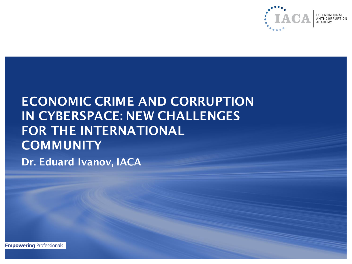

## ECONOMIC CRIME AND CORRUPTION IN CYBERSPACE: NEW CHALLENGES FOR THE INTERNATIONAL **COMMUNITY** Dr. Eduard Ivanov, IACA

**Empowering Professionals.**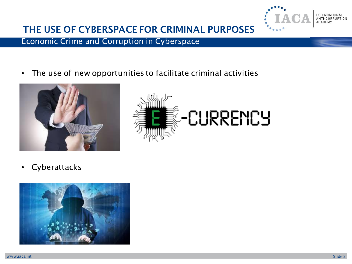

### THE USE OF CYBERSPACE FOR CRIMINAL PURPOSES

#### Economic Crime and Corruption in Cyberspace

• The use of new opportunities to facilitate criminal activities





• Cyberattacks

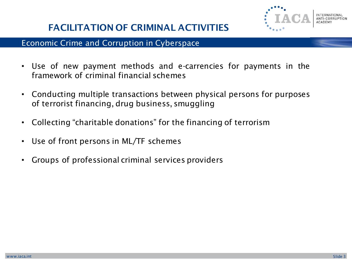

### FACILITATION OF CRIMINAL ACTIVITIES

- Use of new payment methods and e-carrencies for payments in the framework of criminal financial schemes
- Conducting multiple transactions between physical persons for purposes of terrorist financing, drug business, smuggling
- Collecting "charitable donations" for the financing of terrorism
- Use of front persons in ML/TF schemes
- Groups of professional criminal services providers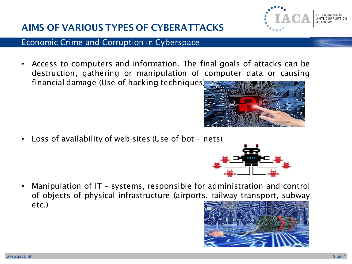### AIMS OF VARIOUS TYPES OF CYBERATTACKS

#### Economic Crime and Corruption in Cyberspace

• Access to computers and information. The final goals of attacks can be destruction, gathering or manipulation of computer data or causing financial damage (Use of hacking techniques)

• Loss of availability of web-sites (Use of bot – nets)

• Manipulation of IT – systems, responsible for administration and control of objects of physical infrastructure (airports. railway transport, subway etc.)





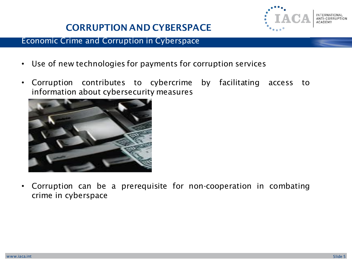### CORRUPTION AND CYBERSPACE



#### Economic Crime and Corruption in Cyberspace

- Use of new technologies for payments for corruption services
- Corruption contributes to cybercrime by facilitating access to information about cybersecurity measures



• Corruption can be a prerequisite for non-cooperation in combating crime in cyberspace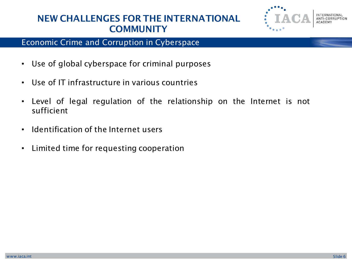### NEW CHALLENGES FOR THE INTERNATIONAL **COMMUNITY**



- Use of global cyberspace for criminal purposes
- Use of IT infrastructure in various countries
- Level of legal regulation of the relationship on the Internet is not sufficient
- Identification of the Internet users
- Limited time for requesting cooperation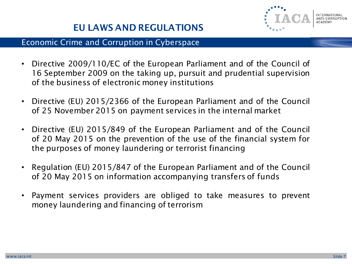

### EU LAWS AND REGULATIONS

- Directive 2009/110/EC of the European Parliament and of the Council of 16 September 2009 on the taking up, pursuit and prudential supervision of the business of electronic money institutions
- Directive (EU) 2015/2366 of the European Parliament and of the Council of 25 November 2015 on payment services in the internal market
- Directive (EU) 2015/849 of the European Parliament and of the Council of 20 May 2015 on the prevention of the use of the financial system for the purposes of money laundering or terrorist financing
- Regulation (EU) 2015/847 of the European Parliament and of the Council of 20 May 2015 on information accompanying transfers of funds
- Payment services providers are obliged to take measures to prevent money laundering and financing of terrorism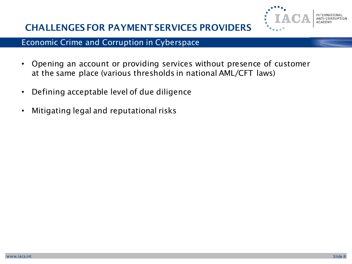

### CHALLENGES FOR PAYMENT SERVICES PROVIDERS

- Opening an account or providing services without presence of customer at the same place (various thresholds in national AML/CFT laws)
- Defining acceptable level of due diligence
- Mitigating legal and reputational risks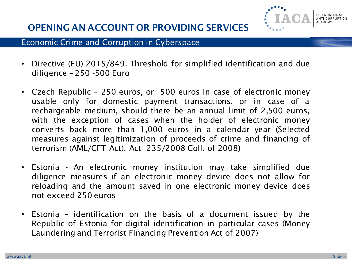

### OPENING AN ACCOUNT OR PROVIDING SERVICES

- Directive (EU) 2015/849. Threshold for simplified identification and due diligence – 250 -500 Euro
- Czech Republic 250 euros, or 500 euros in case of electronic money usable only for domestic payment transactions, or in case of a rechargeable medium, should there be an annual limit of 2,500 euros, with the exception of cases when the holder of electronic money converts back more than 1,000 euros in a calendar year (Selected measures against legitimization of proceeds of crime and financing of terrorism (AML/CFT Act), Act 235/2008 Coll. of 2008)
- Estonia An electronic money institution may take simplified due diligence measures if an electronic money device does not allow for reloading and the amount saved in one electronic money device does not exceed 250 euros
- Estonia identification on the basis of a document issued by the Republic of Estonia for digital identification in particular cases (Money Laundering and Terrorist Financing Prevention Act of 2007)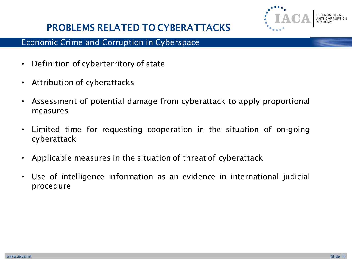

### PROBLEMS RELATED TO CYBERATTACKS

- Definition of cyberterritory of state
- Attribution of cyberattacks
- Assessment of potential damage from cyberattack to apply proportional measures
- Limited time for requesting cooperation in the situation of on-going cyberattack
- Applicable measures in the situation of threat of cyberattack
- Use of intelligence information as an evidence in international judicial procedure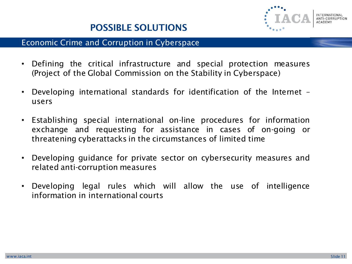- Defining the critical infrastructure and special protection measures (Project of the Global Commission on the Stability in Cyberspace)
- Developing international standards for identification of the Internet users
- Establishing special international on-line procedures for information exchange and requesting for assistance in cases of on-going or threatening cyberattacks in the circumstances of limited time
- Developing guidance for private sector on cybersecurity measures and related anti-corruption measures
- Developing legal rules which will allow the use of intelligence information in international courts